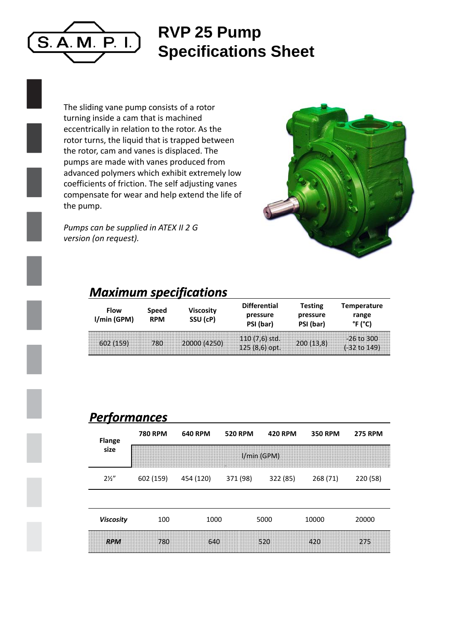

## **RVP 25 P Pump Specifications Sheet**

The sliding vane pump consists of a rotor turning inside a cam that is machined eccentrically in relation to the rotor. As the rotor turns, the liquid that is trapped between the rotor, cam and vanes is displaced. The pumps are made with vanes produced from advanced polymers which exhibit extremely low coefficients of friction. The self adjusting vanes compensate for wear and help extend the life of the pump.

*Pumps can be supplied in ATEX II 2 G version (on request).*



### *Maximum specifications s*

| <b>Flow</b><br>I/min(GPM) | <b>Speed</b><br><b>RPM</b> | <b>Viscosity</b><br>SSU (cP) | <b>Differential</b><br>pressure<br>PSI (bar) | Testing<br>pressure<br>PSI (bar) | Temperature<br>range<br>°F (°C)         |
|---------------------------|----------------------------|------------------------------|----------------------------------------------|----------------------------------|-----------------------------------------|
| 602(159)                  | 780                        | 20000 (4250)                 | $110(7,6)$ std.<br>$125(8,6)$ opt.           | 200(13,8)                        | $-26$ to 300<br>$(-32 \text{ to } 149)$ |

#### *Performances*

| <b>Flange</b><br>size | <b>780 RPM</b> | <b>640 RPM</b> | <b>520 RPM</b> | <b>420 RPM</b> | <b>350 RPM</b> | <b>275 RPM</b> |  |  |
|-----------------------|----------------|----------------|----------------|----------------|----------------|----------------|--|--|
|                       | I/min (GPM)    |                |                |                |                |                |  |  |
| $2\frac{1}{2}$        | 602 (159)      | 454 (120)      | 371 (98)       | 322 (85)       | 268 (71)       | 220 (58)       |  |  |
|                       |                |                |                |                |                |                |  |  |
| <b>Viscosity</b>      | 100            | 1000           |                | 5000           | 10000          | 20000          |  |  |
| <b>RPM</b>            | 780            | 640            |                | 520            | 420            | 275            |  |  |